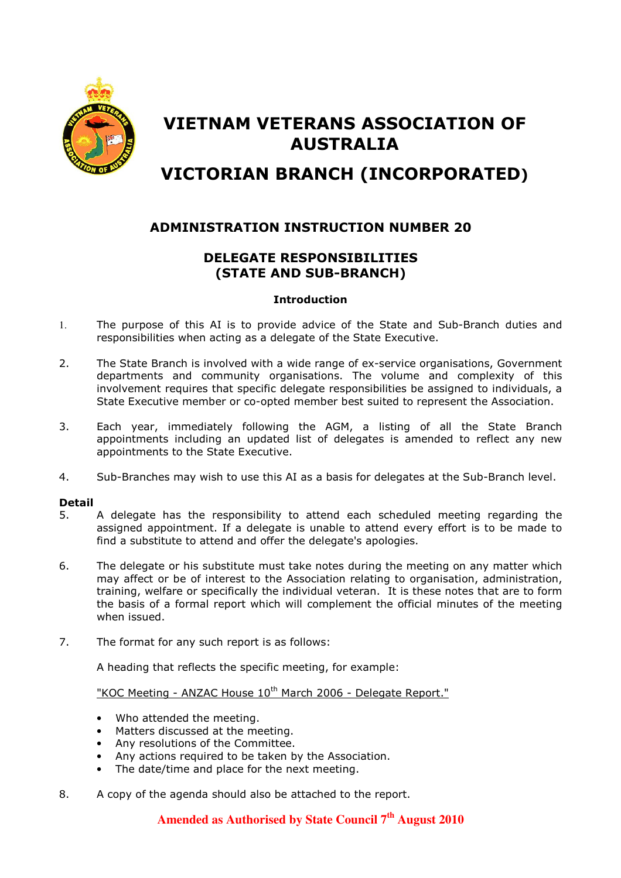

# VIETNAM VETERANS ASSOCIATION OF AUSTRALIA

# VICTORIAN BRANCH (INCORPORATED)

## ADMINISTRATION INSTRUCTION NUMBER 20

# DELEGATE RESPONSIBILITIES (STATE AND SUB-BRANCH)

### **Introduction**

- 1. The purpose of this AI is to provide advice of the State and Sub-Branch duties and responsibilities when acting as a delegate of the State Executive.
- 2. The State Branch is involved with a wide range of ex-service organisations, Government departments and community organisations. The volume and complexity of this involvement requires that specific delegate responsibilities be assigned to individuals, a State Executive member or co-opted member best suited to represent the Association.
- 3. Each year, immediately following the AGM, a listing of all the State Branch appointments including an updated list of delegates is amended to reflect any new appointments to the State Executive.
- 4. Sub-Branches may wish to use this AI as a basis for delegates at the Sub-Branch level.

### Detail

- 5. A delegate has the responsibility to attend each scheduled meeting regarding the assigned appointment. If a delegate is unable to attend every effort is to be made to find a substitute to attend and offer the delegate's apologies.
- 6. The delegate or his substitute must take notes during the meeting on any matter which may affect or be of interest to the Association relating to organisation, administration, training, welfare or specifically the individual veteran. It is these notes that are to form the basis of a formal report which will complement the official minutes of the meeting when issued.
- 7. The format for any such report is as follows:

A heading that reflects the specific meeting, for example:

"KOC Meeting - ANZAC House 10<sup>th</sup> March 2006 - Delegate Report."

- Who attended the meeting.
- Matters discussed at the meeting.
- Any resolutions of the Committee.
- Any actions required to be taken by the Association.
- The date/time and place for the next meeting.
- 8. A copy of the agenda should also be attached to the report.